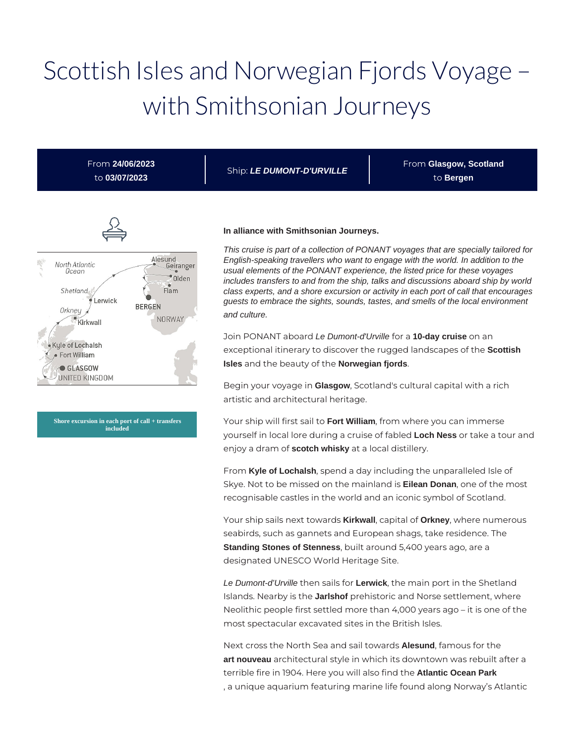# Scottish Isles and Norwegian Fjords Voyage – with Smithsonian Journeys

Ship: **LE DUMONT-D'URVILLE**

Alesund North Atlantic Geiranger Ocean *Olden* Flam Shetland Lerwick **BERGEN** Orkney NORWAY Kirkwall Kyle of Lochalsh · Fort William GLASGOW UNITED KINGDOM

From **24/06/2023** to **03/07/2023**

**Shore excursion in each port of call + transfers included**

#### **In alliance with Smithsonian Journeys.**

This cruise is part of a collection of PONANT voyages that are specially tailored for English-speaking travellers who want to engage with the world. In addition to the usual elements of the PONANT experience, the listed price for these voyages includes transfers to and from the ship, talks and discussions aboard ship by world class experts, and a shore excursion or activity in each port of call that encourages guests to embrace the sights, sounds, tastes, and smells of the local environment and culture.

From **Glasgow, Scotland** to **Bergen**

Join PONANT aboard Le Dumont-d'Urville for a **10-day cruise** on an exceptional itinerary to discover the rugged landscapes of the **Scottish Isles** and the beauty of the **Norwegian fjords**.

Begin your voyage in **Glasgow**, Scotland's cultural capital with a rich artistic and architectural heritage.

Your ship will first sail to **Fort William**, from where you can immerse yourself in local lore during a cruise of fabled **Loch Ness** or take a tour and enjoy a dram of **scotch whisky** at a local distillery.

From **Kyle of Lochalsh**, spend a day including the unparalleled Isle of Skye. Not to be missed on the mainland is **Eilean Donan**, one of the most recognisable castles in the world and an iconic symbol of Scotland.

Your ship sails next towards **Kirkwall**, capital of **Orkney**, where numerous seabirds, such as gannets and European shags, take residence. The **Standing Stones of Stenness**, built around 5,400 years ago, are a designated UNESCO World Heritage Site.

Le Dumont-d'Urville then sails for **Lerwick**, the main port in the Shetland Islands. Nearby is the **Jarlshof** prehistoric and Norse settlement, where Neolithic people first settled more than 4,000 years ago – it is one of the most spectacular excavated sites in the British Isles.

Next cross the North Sea and sail towards **Alesund**, famous for the **art nouveau** architectural style in which its downtown was rebuilt after a terrible fire in 1904. Here you will also find the **Atlantic Ocean Park** , a unique aquarium featuring marine life found along Norway's Atlantic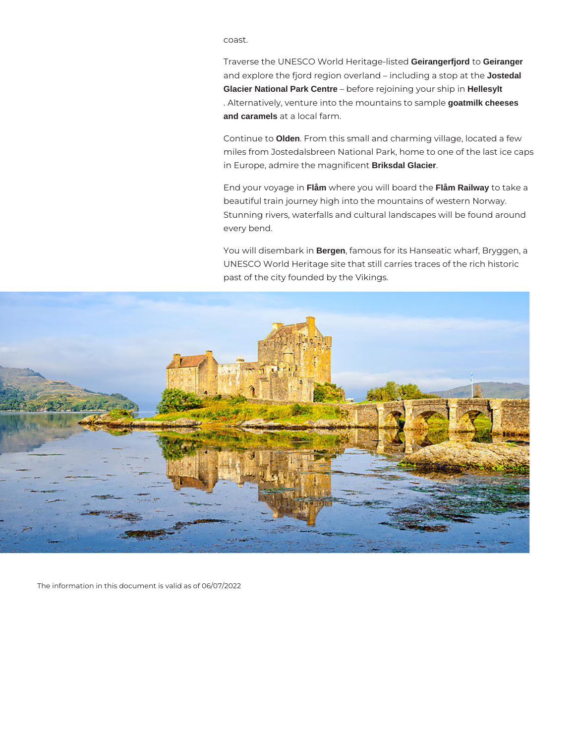coast.

Traverse the UNESCO World Heritage-listed **Geirangerfjord** to **Geiranger** and explore the fjord region overland – including a stop at the **Jostedal Glacier National Park Centre** – before rejoining your ship in **Hellesylt** . Alternatively, venture into the mountains to sample **goatmilk cheeses and caramels** at a local farm.

Continue to **Olden**. From this small and charming village, located a few miles from Jostedalsbreen National Park, home to one of the last ice caps in Europe, admire the magnificent **Briksdal Glacier**.

End your voyage in **Flåm** where you will board the **Flåm Railway** to take a beautiful train journey high into the mountains of western Norway. Stunning rivers, waterfalls and cultural landscapes will be found around every bend.

You will disembark in **Bergen**, famous for its Hanseatic wharf, Bryggen, a UNESCO World Heritage site that still carries traces of the rich historic past of the city founded by the Vikings.



The information in this document is valid as of 06/07/2022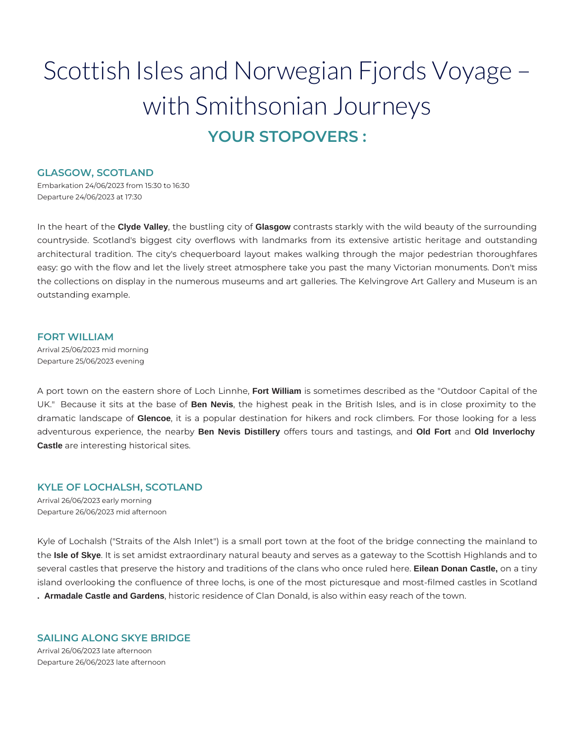## Scottish Isles and Norwegian Fjords Voyage – with Smithsonian Journeys **YOUR STOPOVERS :**

## **GLASGOW, SCOTLAND**

Embarkation 24/06/2023 from 15:30 to 16:30 Departure 24/06/2023 at 17:30

In the heart of the **Clyde Valley**, the bustling city of **Glasgow** contrasts starkly with the wild beauty of the surrounding countryside. Scotland's biggest city overflows with landmarks from its extensive artistic heritage and outstanding architectural tradition. The city's chequerboard layout makes walking through the major pedestrian thoroughfares easy: go with the flow and let the lively street atmosphere take you past the many Victorian monuments. Don't miss the collections on display in the numerous museums and art galleries. The Kelvingrove Art Gallery and Museum is an outstanding example.

## **FORT WILLIAM**

Arrival 25/06/2023 mid morning Departure 25/06/2023 evening

A port town on the eastern shore of Loch Linnhe, **Fort William** is sometimes described as the "Outdoor Capital of the UK." Because it sits at the base of **Ben Nevis**, the highest peak in the British Isles, and is in close proximity to the dramatic landscape of **Glencoe**, it is a popular destination for hikers and rock climbers. For those looking for a less adventurous experience, the nearby **Ben Nevis Distillery** offers tours and tastings, and **Old Fort** and **Old Inverlochy Castle** are interesting historical sites.

## **KYLE OF LOCHALSH, SCOTLAND**

Arrival 26/06/2023 early morning Departure 26/06/2023 mid afternoon

Kyle of Lochalsh ("Straits of the Alsh Inlet") is a small port town at the foot of the bridge connecting the mainland to the **Isle of Skye**. It is set amidst extraordinary natural beauty and serves as a gateway to the Scottish Highlands and to several castles that preserve the history and traditions of the clans who once ruled here. **Eilean Donan Castle,** on a tiny island overlooking the confluence of three lochs, is one of the most picturesque and most-filmed castles in Scotland **. Armadale Castle and Gardens**, historic residence of Clan Donald, is also within easy reach of the town.

## **SAILING ALONG SKYE BRIDGE**

Arrival 26/06/2023 late afternoon Departure 26/06/2023 late afternoon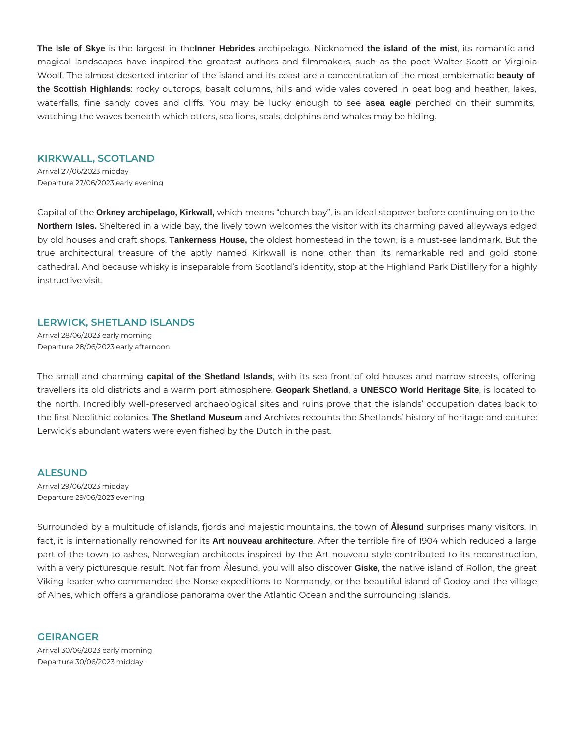**The Isle of Skye** is the largest in the**Inner Hebrides** archipelago. Nicknamed **the island of the mist**, its romantic and magical landscapes have inspired the greatest authors and filmmakers, such as the poet Walter Scott or Virginia Woolf. The almost deserted interior of the island and its coast are a concentration of the most emblematic **beauty of the Scottish Highlands**: rocky outcrops, basalt columns, hills and wide vales covered in peat bog and heather, lakes, waterfalls, fine sandy coves and cliffs. You may be lucky enough to see a**sea eagle** perched on their summits, watching the waves beneath which otters, sea lions, seals, dolphins and whales may be hiding.

#### **KIRKWALL, SCOTLAND**

Arrival 27/06/2023 midday Departure 27/06/2023 early evening

Capital of the **Orkney archipelago, Kirkwall,** which means "church bay", is an ideal stopover before continuing on to the **Northern Isles.** Sheltered in a wide bay, the lively town welcomes the visitor with its charming paved alleyways edged by old houses and craft shops. **Tankerness House,** the oldest homestead in the town, is a must-see landmark. But the true architectural treasure of the aptly named Kirkwall is none other than its remarkable red and gold stone cathedral. And because whisky is inseparable from Scotland's identity, stop at the Highland Park Distillery for a highly instructive visit.

#### **LERWICK, SHETLAND ISLANDS**

Arrival 28/06/2023 early morning Departure 28/06/2023 early afternoon

The small and charming **capital of the Shetland Islands**, with its sea front of old houses and narrow streets, offering travellers its old districts and a warm port atmosphere. **Geopark Shetland**, a **UNESCO World Heritage Site**, is located to the north. Incredibly well-preserved archaeological sites and ruins prove that the islands' occupation dates back to the first Neolithic colonies. **The Shetland Museum** and Archives recounts the Shetlands' history of heritage and culture: Lerwick's abundant waters were even fished by the Dutch in the past.

#### **ALESUND**

Arrival 29/06/2023 midday Departure 29/06/2023 evening

Surrounded by a multitude of islands, fjords and majestic mountains, the town of **Ålesund** surprises many visitors. In fact, it is internationally renowned for its **Art nouveau architecture**. After the terrible fire of 1904 which reduced a large part of the town to ashes, Norwegian architects inspired by the Art nouveau style contributed to its reconstruction, with a very picturesque result. Not far from Ålesund, you will also discover **Giske**, the native island of Rollon, the great Viking leader who commanded the Norse expeditions to Normandy, or the beautiful island of Godoy and the village of Alnes, which offers a grandiose panorama over the Atlantic Ocean and the surrounding islands.

#### **GEIRANGER**

Arrival 30/06/2023 early morning Departure 30/06/2023 midday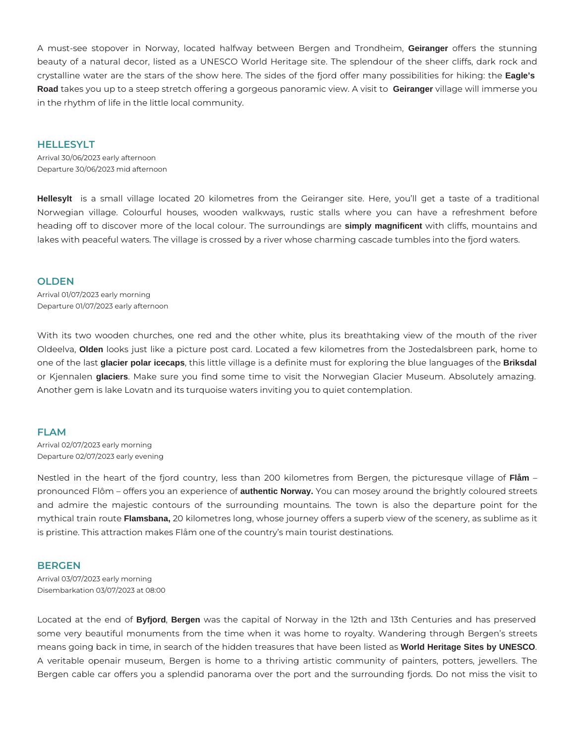A must-see stopover in Norway, located halfway between Bergen and Trondheim, **Geiranger** offers the stunning beauty of a natural decor, listed as a UNESCO World Heritage site. The splendour of the sheer cliffs, dark rock and crystalline water are the stars of the show here. The sides of the fjord offer many possibilities for hiking: the **Eagle's Road** takes you up to a steep stretch offering a gorgeous panoramic view. A visit to **Geiranger** village will immerse you in the rhythm of life in the little local community.

## **HELLESYLT**

Arrival 30/06/2023 early afternoon Departure 30/06/2023 mid afternoon

**Hellesylt** is a small village located 20 kilometres from the Geiranger site. Here, you'll get a taste of a traditional Norwegian village. Colourful houses, wooden walkways, rustic stalls where you can have a refreshment before heading off to discover more of the local colour. The surroundings are **simply magnificent** with cliffs, mountains and lakes with peaceful waters. The village is crossed by a river whose charming cascade tumbles into the fjord waters.

## **OLDEN**

Arrival 01/07/2023 early morning Departure 01/07/2023 early afternoon

With its two wooden churches, one red and the other white, plus its breathtaking view of the mouth of the river Oldeelva, **Olden** looks just like a picture post card. Located a few kilometres from the Jostedalsbreen park, home to one of the last **glacier polar icecaps**, this little village is a definite must for exploring the blue languages of the **Briksdal** or Kjennalen **glaciers**. Make sure you find some time to visit the Norwegian Glacier Museum. Absolutely amazing. Another gem is lake Lovatn and its turquoise waters inviting you to quiet contemplation.

## **FLAM**

Arrival 02/07/2023 early morning Departure 02/07/2023 early evening

Nestled in the heart of the fjord country, less than 200 kilometres from Bergen, the picturesque village of **Flåm** – pronounced Flôm – offers you an experience of **authentic Norway.** You can mosey around the brightly coloured streets and admire the majestic contours of the surrounding mountains. The town is also the departure point for the mythical train route **Flamsbana,** 20 kilometres long, whose journey offers a superb view of the scenery, as sublime as it is pristine. This attraction makes Flåm one of the country's main tourist destinations.

## **BERGEN**

Arrival 03/07/2023 early morning Disembarkation 03/07/2023 at 08:00

Located at the end of **Byfjord**, **Bergen** was the capital of Norway in the 12th and 13th Centuries and has preserved some very beautiful monuments from the time when it was home to royalty. Wandering through Bergen's streets means going back in time, in search of the hidden treasures that have been listed as **World Heritage Sites by UNESCO**. A veritable openair museum, Bergen is home to a thriving artistic community of painters, potters, jewellers. The Bergen cable car offers you a splendid panorama over the port and the surrounding fjords. Do not miss the visit to